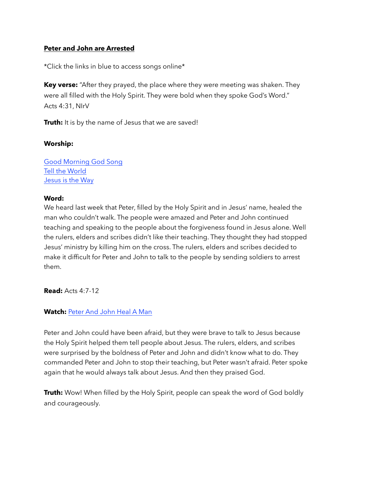## **Peter and John are Arrested**

\*Click the links in blue to access songs online\*

**Key verse:** "After they prayed, the place where they were meeting was shaken. They were all filled with the Holy Spirit. They were bold when they spoke God's Word." Acts 4:31, NIrV

**Truth:** It is by the name of Jesus that we are saved!

### **Worship:**

[Good Morning God Song](https://www.youtube.com/watch?v=66uQkCYwAmU) [Tell the World](https://www.youtube.com/watch?v=0UQ7yn2WAFo) [Jesus is the Way](https://www.youtube.com/watch?v=n32VS7HCB74)

### **Word:**

We heard last week that Peter, filled by the Holy Spirit and in Jesus' name, healed the man who couldn't walk. The people were amazed and Peter and John continued teaching and speaking to the people about the forgiveness found in Jesus alone. Well the rulers, elders and scribes didn't like their teaching. They thought they had stopped Jesus' ministry by killing him on the cross. The rulers, elders and scribes decided to make it difficult for Peter and John to talk to the people by sending soldiers to arrest them.

**Read:** Acts 4:7-12

## **Watch:** [Peter And John Heal A Man](https://www.youtube.com/watch?v=rQTFNyctPVU)

Peter and John could have been afraid, but they were brave to talk to Jesus because the Holy Spirit helped them tell people about Jesus. The rulers, elders, and scribes were surprised by the boldness of Peter and John and didn't know what to do. They commanded Peter and John to stop their teaching, but Peter wasn't afraid. Peter spoke again that he would always talk about Jesus. And then they praised God.

**Truth:** Wow! When filled by the Holy Spirit, people can speak the word of God boldly and courageously.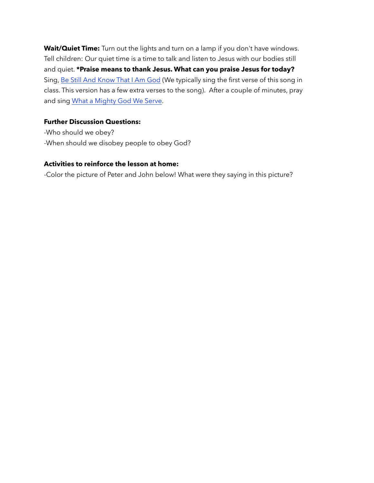Wait/**Quiet Time:** Turn out the lights and turn on a lamp if you don't have windows. Tell children: Our quiet time is a time to talk and listen to Jesus with our bodies still and quiet. **\*Praise means to thank Jesus. What can you praise Jesus for today?** Sing, [Be Still And Know That I Am God](https://www.youtube.com/watch?v=RYvN-DKh23c) (We typically sing the first verse of this song in class. This version has a few extra verses to the song). After a couple of minutes, pray and sing [What a Mighty God We Serve](https://www.youtube.com/watch?v=SDyD8poRNwA).

# **Further Discussion Questions:**

-Who should we obey? -When should we disobey people to obey God?

# **Activities to reinforce the lesson at home:**

-Color the picture of Peter and John below! What were they saying in this picture?